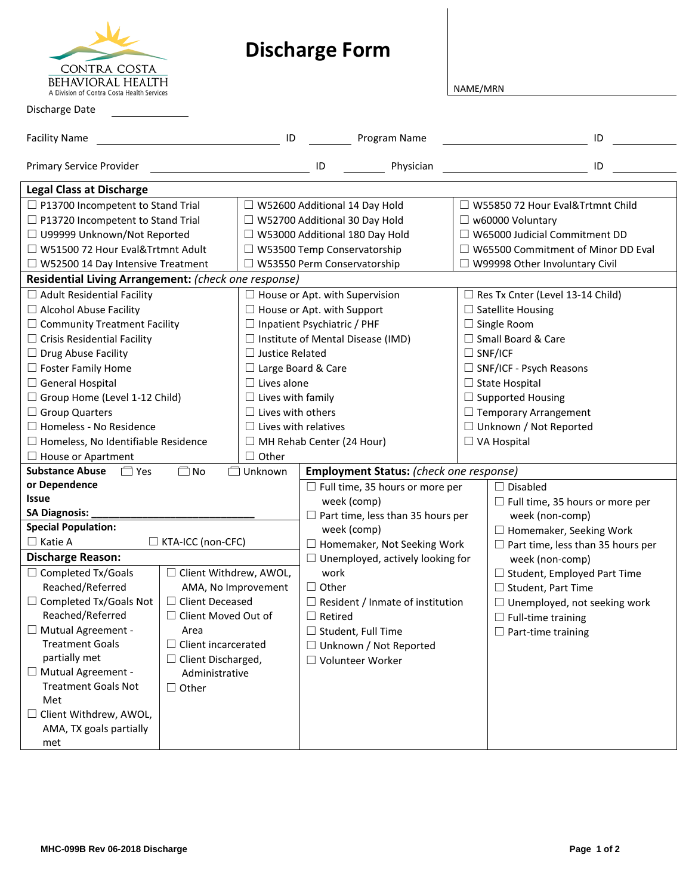| CONTRA COSTA                                                    |
|-----------------------------------------------------------------|
| behavioral health<br>A Division of Contra Costa Health Services |

## **Discharge Form**

NAME/MRN

| Discharge Date                                                                                               |                            |                                          |                                          |                                         |                                           |                                          |  |  |  |  |
|--------------------------------------------------------------------------------------------------------------|----------------------------|------------------------------------------|------------------------------------------|-----------------------------------------|-------------------------------------------|------------------------------------------|--|--|--|--|
| <b>Facility Name</b>                                                                                         |                            | ID                                       |                                          | Program Name                            |                                           | ID                                       |  |  |  |  |
| Primary Service Provider                                                                                     |                            |                                          | ID                                       | Physician                               |                                           | ID                                       |  |  |  |  |
| <b>Legal Class at Discharge</b>                                                                              |                            |                                          |                                          |                                         |                                           |                                          |  |  |  |  |
| $\Box$ P13700 Incompetent to Stand Trial                                                                     |                            | $\Box$ W52600 Additional 14 Day Hold     |                                          |                                         | □ W55850 72 Hour Eval&Trtmnt Child        |                                          |  |  |  |  |
| $\Box$ P13720 Incompetent to Stand Trial                                                                     |                            | □ W52700 Additional 30 Day Hold          |                                          |                                         | $\Box$ w60000 Voluntary                   |                                          |  |  |  |  |
| □ U99999 Unknown/Not Reported                                                                                |                            | □ W53000 Additional 180 Day Hold         |                                          |                                         | $\Box$ W65000 Judicial Commitment DD      |                                          |  |  |  |  |
| □ W51500 72 Hour Eval&Trtmnt Adult                                                                           |                            | □ W53500 Temp Conservatorship            |                                          |                                         | $\Box$ W65500 Commitment of Minor DD Eval |                                          |  |  |  |  |
| $\Box$ W52500 14 Day Intensive Treatment                                                                     |                            |                                          | $\Box$ W53550 Perm Conservatorship       |                                         | $\Box$ W99998 Other Involuntary Civil     |                                          |  |  |  |  |
| Residential Living Arrangement: (check one response)                                                         |                            |                                          |                                          |                                         |                                           |                                          |  |  |  |  |
| $\Box$ Adult Residential Facility                                                                            |                            | $\Box$ House or Apt. with Supervision    |                                          | $\Box$ Res Tx Cnter (Level 13-14 Child) |                                           |                                          |  |  |  |  |
| □ Alcohol Abuse Facility                                                                                     |                            | $\Box$ House or Apt. with Support        |                                          |                                         | $\Box$ Satellite Housing                  |                                          |  |  |  |  |
| $\Box$ Community Treatment Facility                                                                          |                            | $\Box$ Inpatient Psychiatric / PHF       |                                          | $\Box$ Single Room                      |                                           |                                          |  |  |  |  |
| $\Box$ Crisis Residential Facility                                                                           |                            | $\Box$ Institute of Mental Disease (IMD) |                                          |                                         | □ Small Board & Care                      |                                          |  |  |  |  |
| $\Box$ Drug Abuse Facility                                                                                   |                            | $\Box$ Justice Related                   |                                          |                                         | $\Box$ SNF/ICF                            |                                          |  |  |  |  |
| $\Box$ Foster Family Home                                                                                    |                            | $\Box$ Large Board & Care                |                                          |                                         | SNF/ICF - Psych Reasons                   |                                          |  |  |  |  |
| $\Box$ General Hospital                                                                                      |                            | $\Box$ Lives alone                       |                                          |                                         | $\Box$ State Hospital                     |                                          |  |  |  |  |
| $\Box$ Group Home (Level 1-12 Child)                                                                         |                            | $\Box$ Lives with family                 |                                          |                                         | $\Box$ Supported Housing                  |                                          |  |  |  |  |
| $\Box$ Group Quarters                                                                                        |                            | $\Box$ Lives with others                 |                                          | $\Box$ Temporary Arrangement            |                                           |                                          |  |  |  |  |
| $\Box$ Homeless - No Residence                                                                               |                            | $\Box$ Lives with relatives              |                                          | □ Unknown / Not Reported                |                                           |                                          |  |  |  |  |
| $\Box$ Homeless, No Identifiable Residence                                                                   |                            | $\Box$ MH Rehab Center (24 Hour)         |                                          | $\Box$ VA Hospital                      |                                           |                                          |  |  |  |  |
| $\Box$ House or Apartment                                                                                    |                            | $\Box$ Other                             |                                          |                                         |                                           |                                          |  |  |  |  |
| <b>Substance Abuse</b><br>$\Box$ Yes<br>$\square$ No<br>□ Unknown<br>Employment Status: (check one response) |                            |                                          |                                          |                                         |                                           |                                          |  |  |  |  |
| or Dependence                                                                                                |                            |                                          | $\Box$ Full time, 35 hours or more per   |                                         |                                           | $\Box$ Disabled                          |  |  |  |  |
| <b>Issue</b>                                                                                                 |                            |                                          | week (comp)                              |                                         |                                           | $\Box$ Full time, 35 hours or more per   |  |  |  |  |
| <b>SA Diagnosis:</b>                                                                                         |                            |                                          | $\Box$ Part time, less than 35 hours per |                                         |                                           | week (non-comp)                          |  |  |  |  |
| <b>Special Population:</b>                                                                                   |                            |                                          | week (comp)                              |                                         |                                           | $\Box$ Homemaker, Seeking Work           |  |  |  |  |
| $\Box$ Katie A<br>□ KTA-ICC (non-CFC)                                                                        |                            |                                          | $\Box$ Homemaker, Not Seeking Work       |                                         |                                           | $\Box$ Part time, less than 35 hours per |  |  |  |  |
| <b>Discharge Reason:</b>                                                                                     |                            |                                          | $\Box$ Unemployed, actively looking for  |                                         |                                           | week (non-comp)                          |  |  |  |  |
| $\Box$ Completed Tx/Goals                                                                                    | □ Client Withdrew, AWOL,   |                                          | work                                     |                                         |                                           | $\Box$ Student, Employed Part Time       |  |  |  |  |
| Reached/Referred                                                                                             | AMA, No Improvement        |                                          | $\Box$ Other                             |                                         |                                           | $\Box$ Student, Part Time                |  |  |  |  |
| $\Box$ Completed Tx/Goals Not                                                                                | $\Box$ Client Deceased     |                                          | $\Box$ Resident / Inmate of institution  |                                         |                                           | $\Box$ Unemployed, not seeking work      |  |  |  |  |
| Reached/Referred                                                                                             | Client Moved Out of        |                                          | $\Box$ Retired                           |                                         |                                           | $\Box$ Full-time training                |  |  |  |  |
| □ Mutual Agreement -                                                                                         | Area                       |                                          | $\Box$ Student, Full Time                |                                         |                                           | $\Box$ Part-time training                |  |  |  |  |
| <b>Treatment Goals</b>                                                                                       | $\Box$ Client incarcerated |                                          | $\Box$ Unknown / Not Reported            |                                         |                                           |                                          |  |  |  |  |
| partially met                                                                                                | $\Box$ Client Discharged,  |                                          | □ Volunteer Worker                       |                                         |                                           |                                          |  |  |  |  |
| □ Mutual Agreement -                                                                                         | Administrative             |                                          |                                          |                                         |                                           |                                          |  |  |  |  |
| <b>Treatment Goals Not</b><br>Met                                                                            | $\Box$ Other               |                                          |                                          |                                         |                                           |                                          |  |  |  |  |
| Client Withdrew, AWOL,<br>ப                                                                                  |                            |                                          |                                          |                                         |                                           |                                          |  |  |  |  |
| AMA, TX goals partially                                                                                      |                            |                                          |                                          |                                         |                                           |                                          |  |  |  |  |
| met                                                                                                          |                            |                                          |                                          |                                         |                                           |                                          |  |  |  |  |